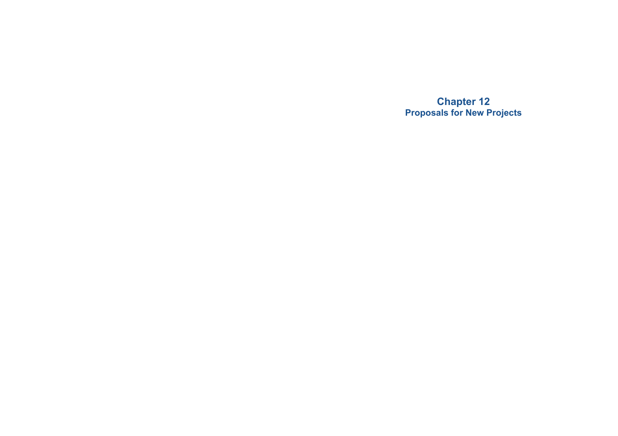**Chapter 12 Proposals for New Projects**